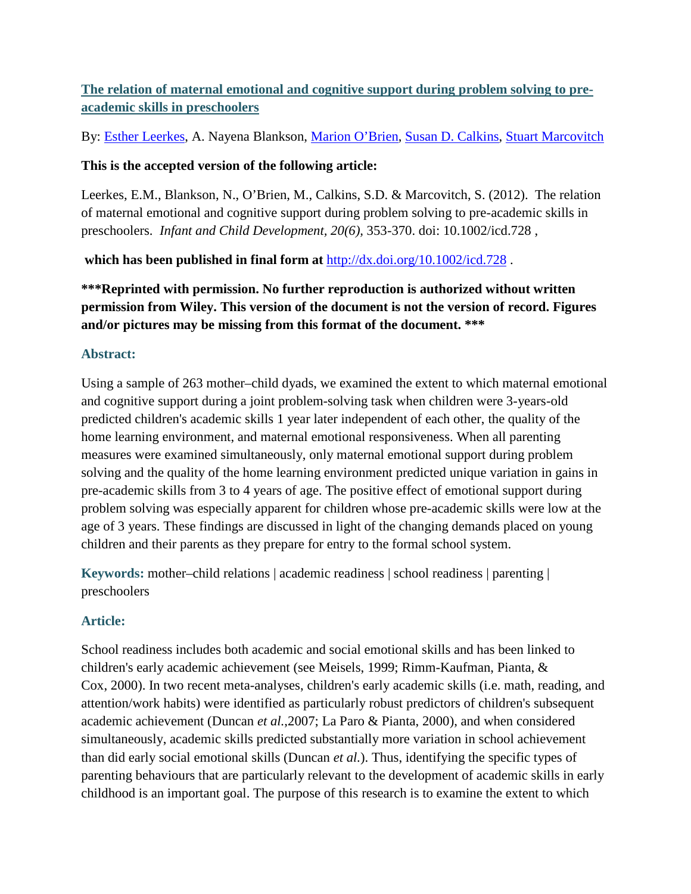# **The relation of maternal emotional and cognitive support during problem solving to preacademic skills in preschoolers**

By: [Esther Leerkes,](https://libres.uncg.edu/ir/uncg/clist.aspx?id=1186) A. Nayena Blankson, [Marion O'Brien,](https://libres.uncg.edu/ir/uncg/clist.aspx?id=1332) [Susan D. Calkins,](https://libres.uncg.edu/ir/uncg/clist.aspx?id=1258) [Stuart Marcovitch](https://libres.uncg.edu/ir/uncg/clist.aspx?id=633)

# **This is the accepted version of the following article:**

Leerkes, E.M., Blankson, N., O'Brien, M., Calkins, S.D. & Marcovitch, S. (2012). The relation of maternal emotional and cognitive support during problem solving to pre-academic skills in preschoolers. *Infant and Child Development, 20(6),* 353-370. doi: 10.1002/icd.728 ,

**which has been published in final form at** <http://dx.doi.org/10.1002/icd.728> .

**\*\*\*Reprinted with permission. No further reproduction is authorized without written permission from Wiley. This version of the document is not the version of record. Figures and/or pictures may be missing from this format of the document. \*\*\***

# **Abstract:**

Using a sample of 263 mother–child dyads, we examined the extent to which maternal emotional and cognitive support during a joint problem-solving task when children were 3-years-old predicted children's academic skills 1 year later independent of each other, the quality of the home learning environment, and maternal emotional responsiveness. When all parenting measures were examined simultaneously, only maternal emotional support during problem solving and the quality of the home learning environment predicted unique variation in gains in pre-academic skills from 3 to 4 years of age. The positive effect of emotional support during problem solving was especially apparent for children whose pre-academic skills were low at the age of 3 years. These findings are discussed in light of the changing demands placed on young children and their parents as they prepare for entry to the formal school system.

**Keywords:** mother–child relations | academic readiness | school readiness | parenting | preschoolers

# **Article:**

School readiness includes both academic and social emotional skills and has been linked to children's early academic achievement (see Meisels, 1999; Rimm-Kaufman, Pianta, & Cox, 2000). In two recent meta-analyses, children's early academic skills (i.e. math, reading, and attention/work habits) were identified as particularly robust predictors of children's subsequent academic achievement (Duncan *et al.*,2007; La Paro & Pianta, 2000), and when considered simultaneously, academic skills predicted substantially more variation in school achievement than did early social emotional skills (Duncan *et al.*). Thus, identifying the specific types of parenting behaviours that are particularly relevant to the development of academic skills in early childhood is an important goal. The purpose of this research is to examine the extent to which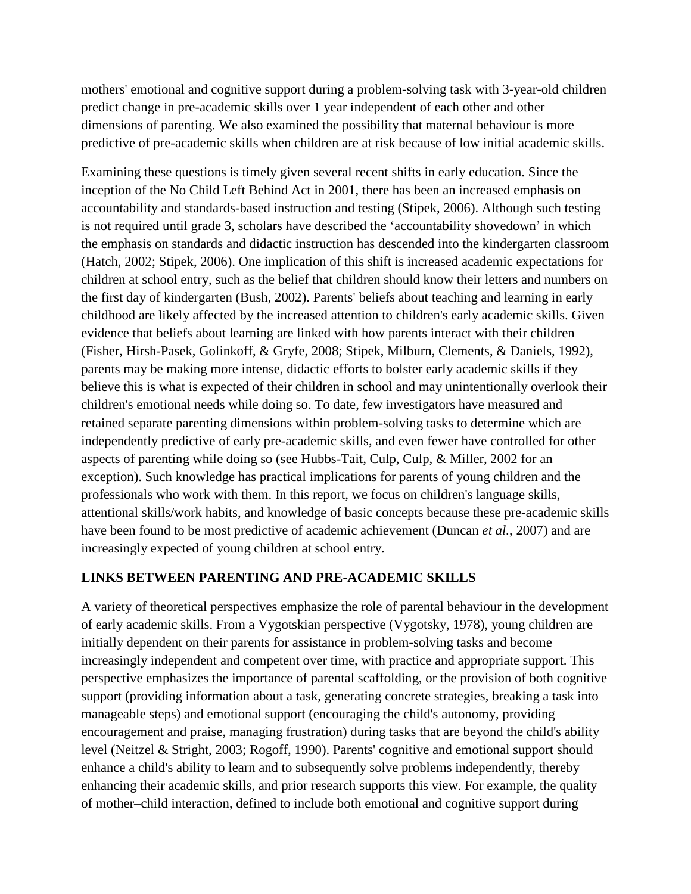mothers' emotional and cognitive support during a problem-solving task with 3-year-old children predict change in pre-academic skills over 1 year independent of each other and other dimensions of parenting. We also examined the possibility that maternal behaviour is more predictive of pre-academic skills when children are at risk because of low initial academic skills.

Examining these questions is timely given several recent shifts in early education. Since the inception of the No Child Left Behind Act in 2001, there has been an increased emphasis on accountability and standards-based instruction and testing (Stipek, 2006). Although such testing is not required until grade 3, scholars have described the 'accountability shovedown' in which the emphasis on standards and didactic instruction has descended into the kindergarten classroom (Hatch, 2002; Stipek, 2006). One implication of this shift is increased academic expectations for children at school entry, such as the belief that children should know their letters and numbers on the first day of kindergarten (Bush, 2002). Parents' beliefs about teaching and learning in early childhood are likely affected by the increased attention to children's early academic skills. Given evidence that beliefs about learning are linked with how parents interact with their children (Fisher, Hirsh-Pasek, Golinkoff, & Gryfe, 2008; Stipek, Milburn, Clements, & Daniels, 1992), parents may be making more intense, didactic efforts to bolster early academic skills if they believe this is what is expected of their children in school and may unintentionally overlook their children's emotional needs while doing so. To date, few investigators have measured and retained separate parenting dimensions within problem-solving tasks to determine which are independently predictive of early pre-academic skills, and even fewer have controlled for other aspects of parenting while doing so (see Hubbs-Tait, Culp, Culp, & Miller, 2002 for an exception). Such knowledge has practical implications for parents of young children and the professionals who work with them. In this report, we focus on children's language skills, attentional skills/work habits, and knowledge of basic concepts because these pre-academic skills have been found to be most predictive of academic achievement (Duncan *et al.*, 2007) and are increasingly expected of young children at school entry.

# **LINKS BETWEEN PARENTING AND PRE-ACADEMIC SKILLS**

A variety of theoretical perspectives emphasize the role of parental behaviour in the development of early academic skills. From a Vygotskian perspective (Vygotsky, 1978), young children are initially dependent on their parents for assistance in problem-solving tasks and become increasingly independent and competent over time, with practice and appropriate support. This perspective emphasizes the importance of parental scaffolding, or the provision of both cognitive support (providing information about a task, generating concrete strategies, breaking a task into manageable steps) and emotional support (encouraging the child's autonomy, providing encouragement and praise, managing frustration) during tasks that are beyond the child's ability level (Neitzel & Stright, 2003; Rogoff, 1990). Parents' cognitive and emotional support should enhance a child's ability to learn and to subsequently solve problems independently, thereby enhancing their academic skills, and prior research supports this view. For example, the quality of mother–child interaction, defined to include both emotional and cognitive support during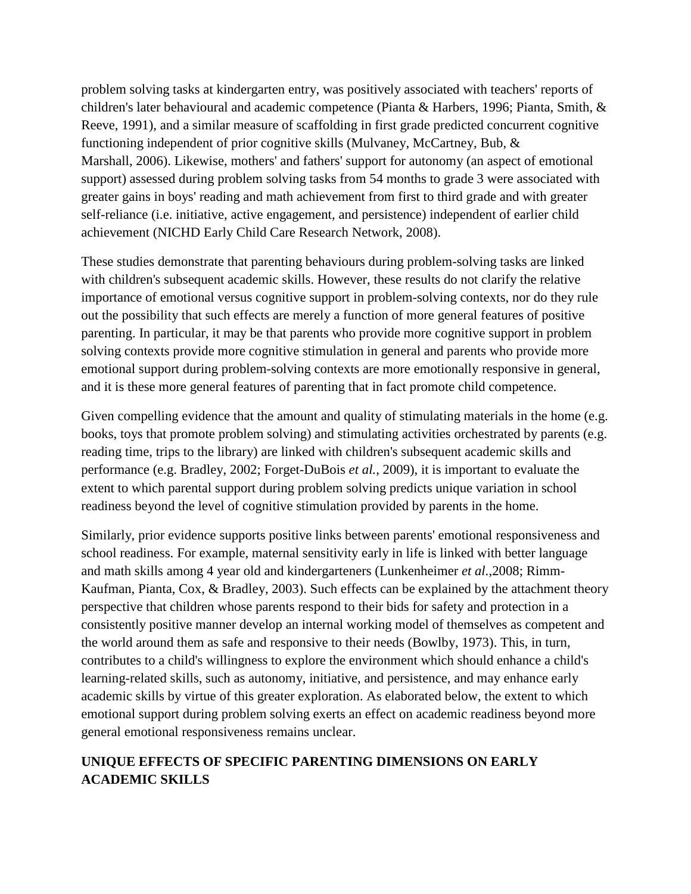problem solving tasks at kindergarten entry, was positively associated with teachers' reports of children's later behavioural and academic competence (Pianta & Harbers, 1996; Pianta, Smith, & Reeve, 1991), and a similar measure of scaffolding in first grade predicted concurrent cognitive functioning independent of prior cognitive skills (Mulvaney, McCartney, Bub, & Marshall, 2006). Likewise, mothers' and fathers' support for autonomy (an aspect of emotional support) assessed during problem solving tasks from 54 months to grade 3 were associated with greater gains in boys' reading and math achievement from first to third grade and with greater self-reliance (i.e. initiative, active engagement, and persistence) independent of earlier child achievement (NICHD Early Child Care Research Network, 2008).

These studies demonstrate that parenting behaviours during problem-solving tasks are linked with children's subsequent academic skills. However, these results do not clarify the relative importance of emotional versus cognitive support in problem-solving contexts, nor do they rule out the possibility that such effects are merely a function of more general features of positive parenting. In particular, it may be that parents who provide more cognitive support in problem solving contexts provide more cognitive stimulation in general and parents who provide more emotional support during problem-solving contexts are more emotionally responsive in general, and it is these more general features of parenting that in fact promote child competence.

Given compelling evidence that the amount and quality of stimulating materials in the home (e.g. books, toys that promote problem solving) and stimulating activities orchestrated by parents (e.g. reading time, trips to the library) are linked with children's subsequent academic skills and performance (e.g. Bradley, 2002; Forget-DuBois *et al.*, 2009), it is important to evaluate the extent to which parental support during problem solving predicts unique variation in school readiness beyond the level of cognitive stimulation provided by parents in the home.

Similarly, prior evidence supports positive links between parents' emotional responsiveness and school readiness. For example, maternal sensitivity early in life is linked with better language and math skills among 4 year old and kindergarteners (Lunkenheimer *et al.*,2008; Rimm-Kaufman, Pianta, Cox, & Bradley, 2003). Such effects can be explained by the attachment theory perspective that children whose parents respond to their bids for safety and protection in a consistently positive manner develop an internal working model of themselves as competent and the world around them as safe and responsive to their needs (Bowlby, 1973). This, in turn, contributes to a child's willingness to explore the environment which should enhance a child's learning-related skills, such as autonomy, initiative, and persistence, and may enhance early academic skills by virtue of this greater exploration. As elaborated below, the extent to which emotional support during problem solving exerts an effect on academic readiness beyond more general emotional responsiveness remains unclear.

# **UNIQUE EFFECTS OF SPECIFIC PARENTING DIMENSIONS ON EARLY ACADEMIC SKILLS**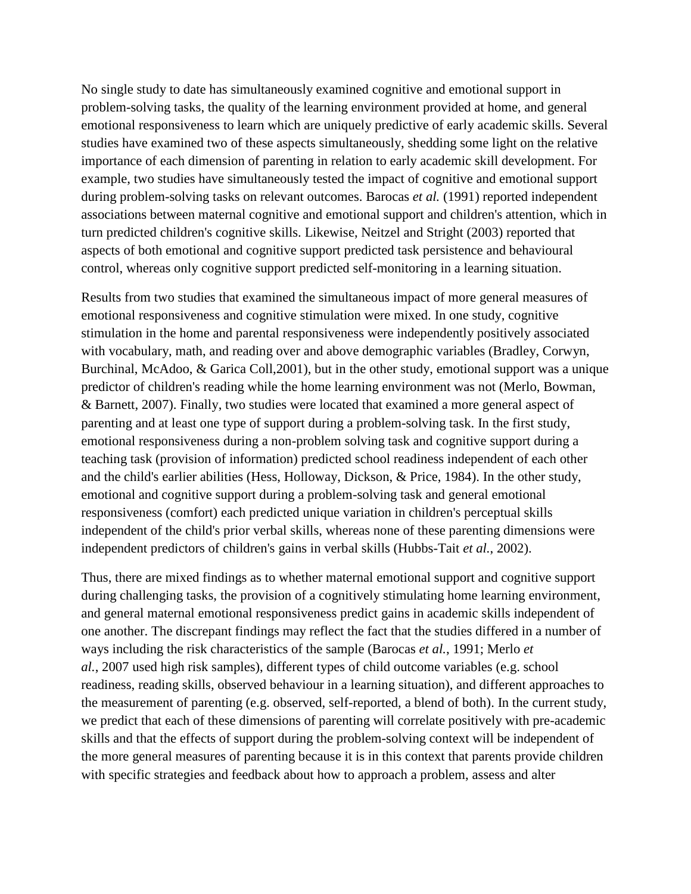No single study to date has simultaneously examined cognitive and emotional support in problem-solving tasks, the quality of the learning environment provided at home, and general emotional responsiveness to learn which are uniquely predictive of early academic skills. Several studies have examined two of these aspects simultaneously, shedding some light on the relative importance of each dimension of parenting in relation to early academic skill development. For example, two studies have simultaneously tested the impact of cognitive and emotional support during problem-solving tasks on relevant outcomes. Barocas *et al.* (1991) reported independent associations between maternal cognitive and emotional support and children's attention, which in turn predicted children's cognitive skills. Likewise, Neitzel and Stright (2003) reported that aspects of both emotional and cognitive support predicted task persistence and behavioural control, whereas only cognitive support predicted self-monitoring in a learning situation.

Results from two studies that examined the simultaneous impact of more general measures of emotional responsiveness and cognitive stimulation were mixed. In one study, cognitive stimulation in the home and parental responsiveness were independently positively associated with vocabulary, math, and reading over and above demographic variables (Bradley, Corwyn, Burchinal, McAdoo, & Garica Coll,2001), but in the other study, emotional support was a unique predictor of children's reading while the home learning environment was not (Merlo, Bowman, & Barnett, 2007). Finally, two studies were located that examined a more general aspect of parenting and at least one type of support during a problem-solving task. In the first study, emotional responsiveness during a non-problem solving task and cognitive support during a teaching task (provision of information) predicted school readiness independent of each other and the child's earlier abilities (Hess, Holloway, Dickson, & Price, 1984). In the other study, emotional and cognitive support during a problem-solving task and general emotional responsiveness (comfort) each predicted unique variation in children's perceptual skills independent of the child's prior verbal skills, whereas none of these parenting dimensions were independent predictors of children's gains in verbal skills (Hubbs-Tait *et al.*, 2002).

Thus, there are mixed findings as to whether maternal emotional support and cognitive support during challenging tasks, the provision of a cognitively stimulating home learning environment, and general maternal emotional responsiveness predict gains in academic skills independent of one another. The discrepant findings may reflect the fact that the studies differed in a number of ways including the risk characteristics of the sample (Barocas *et al.*, 1991; Merlo *et al.*, 2007 used high risk samples), different types of child outcome variables (e.g. school readiness, reading skills, observed behaviour in a learning situation), and different approaches to the measurement of parenting (e.g. observed, self-reported, a blend of both). In the current study, we predict that each of these dimensions of parenting will correlate positively with pre-academic skills and that the effects of support during the problem-solving context will be independent of the more general measures of parenting because it is in this context that parents provide children with specific strategies and feedback about how to approach a problem, assess and alter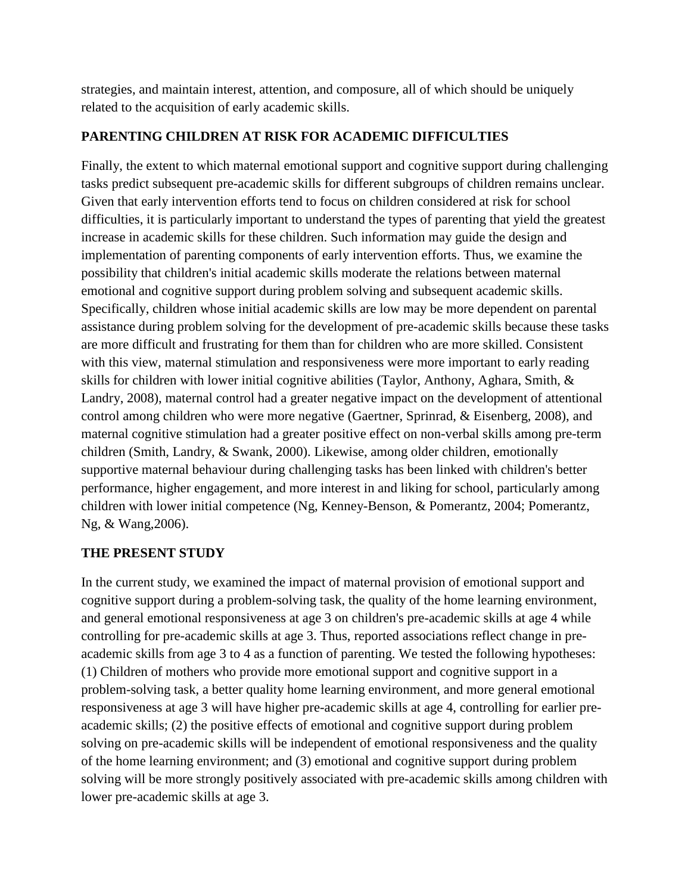strategies, and maintain interest, attention, and composure, all of which should be uniquely related to the acquisition of early academic skills.

# **PARENTING CHILDREN AT RISK FOR ACADEMIC DIFFICULTIES**

Finally, the extent to which maternal emotional support and cognitive support during challenging tasks predict subsequent pre-academic skills for different subgroups of children remains unclear. Given that early intervention efforts tend to focus on children considered at risk for school difficulties, it is particularly important to understand the types of parenting that yield the greatest increase in academic skills for these children. Such information may guide the design and implementation of parenting components of early intervention efforts. Thus, we examine the possibility that children's initial academic skills moderate the relations between maternal emotional and cognitive support during problem solving and subsequent academic skills. Specifically, children whose initial academic skills are low may be more dependent on parental assistance during problem solving for the development of pre-academic skills because these tasks are more difficult and frustrating for them than for children who are more skilled. Consistent with this view, maternal stimulation and responsiveness were more important to early reading skills for children with lower initial cognitive abilities (Taylor, Anthony, Aghara, Smith, & Landry, 2008), maternal control had a greater negative impact on the development of attentional control among children who were more negative (Gaertner, Sprinrad, & Eisenberg, 2008), and maternal cognitive stimulation had a greater positive effect on non-verbal skills among pre-term children (Smith, Landry, & Swank, 2000). Likewise, among older children, emotionally supportive maternal behaviour during challenging tasks has been linked with children's better performance, higher engagement, and more interest in and liking for school, particularly among children with lower initial competence (Ng, Kenney-Benson, & Pomerantz, 2004; Pomerantz, Ng, & Wang,2006).

# **THE PRESENT STUDY**

In the current study, we examined the impact of maternal provision of emotional support and cognitive support during a problem-solving task, the quality of the home learning environment, and general emotional responsiveness at age 3 on children's pre-academic skills at age 4 while controlling for pre-academic skills at age 3. Thus, reported associations reflect change in preacademic skills from age 3 to 4 as a function of parenting. We tested the following hypotheses: (1) Children of mothers who provide more emotional support and cognitive support in a problem-solving task, a better quality home learning environment, and more general emotional responsiveness at age 3 will have higher pre-academic skills at age 4, controlling for earlier preacademic skills; (2) the positive effects of emotional and cognitive support during problem solving on pre-academic skills will be independent of emotional responsiveness and the quality of the home learning environment; and (3) emotional and cognitive support during problem solving will be more strongly positively associated with pre-academic skills among children with lower pre-academic skills at age 3.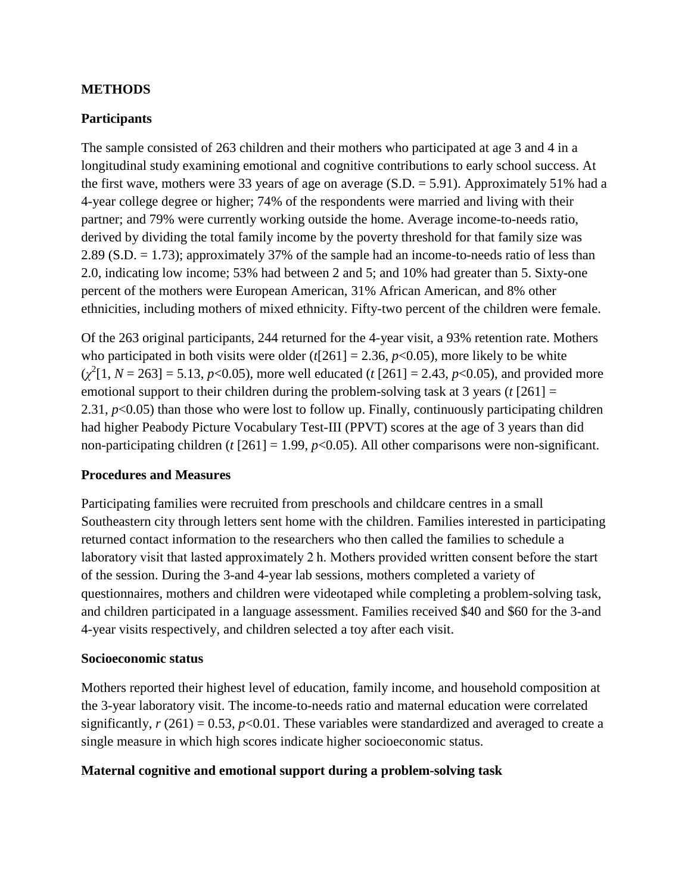### **METHODS**

### **Participants**

The sample consisted of 263 children and their mothers who participated at age 3 and 4 in a longitudinal study examining emotional and cognitive contributions to early school success. At the first wave, mothers were 33 years of age on average  $(S.D. = 5.91)$ . Approximately 51% had a 4-year college degree or higher; 74% of the respondents were married and living with their partner; and 79% were currently working outside the home. Average income-to-needs ratio, derived by dividing the total family income by the poverty threshold for that family size was 2.89 (S.D. = 1.73); approximately 37% of the sample had an income-to-needs ratio of less than 2.0, indicating low income; 53% had between 2 and 5; and 10% had greater than 5. Sixty-one percent of the mothers were European American, 31% African American, and 8% other ethnicities, including mothers of mixed ethnicity. Fifty-two percent of the children were female.

Of the 263 original participants, 244 returned for the 4-year visit, a 93% retention rate. Mothers who participated in both visits were older  $(t[261] = 2.36, p<0.05)$ , more likely to be white  $(\chi^2[1, N = 263] = 5.13, p < 0.05)$ , more well educated (*t* [261] = 2.43, *p*<0.05), and provided more emotional support to their children during the problem-solving task at 3 years (*t* [261] = 2.31,  $p<0.05$ ) than those who were lost to follow up. Finally, continuously participating children had higher Peabody Picture Vocabulary Test-III (PPVT) scores at the age of 3 years than did non-participating children ( $t$  [261] = 1.99,  $p$ <0.05). All other comparisons were non-significant.

#### **Procedures and Measures**

Participating families were recruited from preschools and childcare centres in a small Southeastern city through letters sent home with the children. Families interested in participating returned contact information to the researchers who then called the families to schedule a laboratory visit that lasted approximately 2 h. Mothers provided written consent before the start of the session. During the 3-and 4-year lab sessions, mothers completed a variety of questionnaires, mothers and children were videotaped while completing a problem-solving task, and children participated in a language assessment. Families received \$40 and \$60 for the 3-and 4-year visits respectively, and children selected a toy after each visit.

#### **Socioeconomic status**

Mothers reported their highest level of education, family income, and household composition at the 3-year laboratory visit. The income-to-needs ratio and maternal education were correlated significantly,  $r(261) = 0.53$ ,  $p<0.01$ . These variables were standardized and averaged to create a single measure in which high scores indicate higher socioeconomic status.

#### **Maternal cognitive and emotional support during a problem-solving task**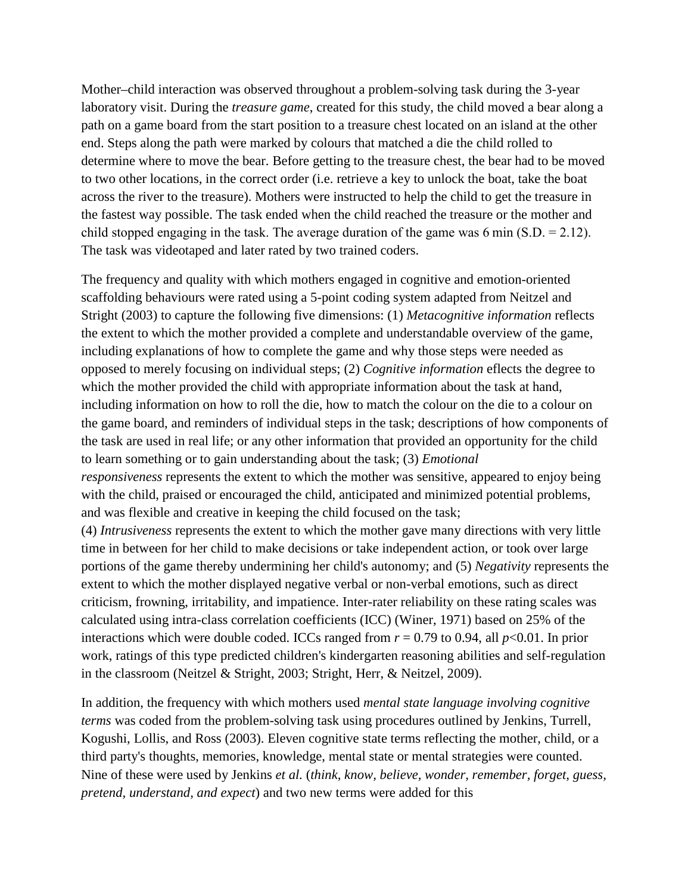Mother–child interaction was observed throughout a problem-solving task during the 3-year laboratory visit. During the *treasure game*, created for this study, the child moved a bear along a path on a game board from the start position to a treasure chest located on an island at the other end. Steps along the path were marked by colours that matched a die the child rolled to determine where to move the bear. Before getting to the treasure chest, the bear had to be moved to two other locations, in the correct order (i.e. retrieve a key to unlock the boat, take the boat across the river to the treasure). Mothers were instructed to help the child to get the treasure in the fastest way possible. The task ended when the child reached the treasure or the mother and child stopped engaging in the task. The average duration of the game was 6 min  $(S.D. = 2.12)$ . The task was videotaped and later rated by two trained coders.

The frequency and quality with which mothers engaged in cognitive and emotion-oriented scaffolding behaviours were rated using a 5-point coding system adapted from Neitzel and Stright (2003) to capture the following five dimensions: (1) *Metacognitive information* reflects the extent to which the mother provided a complete and understandable overview of the game, including explanations of how to complete the game and why those steps were needed as opposed to merely focusing on individual steps; (2) *Cognitive information* eflects the degree to which the mother provided the child with appropriate information about the task at hand, including information on how to roll the die, how to match the colour on the die to a colour on the game board, and reminders of individual steps in the task; descriptions of how components of the task are used in real life; or any other information that provided an opportunity for the child to learn something or to gain understanding about the task; (3) *Emotional responsiveness* represents the extent to which the mother was sensitive, appeared to enjoy being with the child, praised or encouraged the child, anticipated and minimized potential problems, and was flexible and creative in keeping the child focused on the task;

(4) *Intrusiveness* represents the extent to which the mother gave many directions with very little time in between for her child to make decisions or take independent action, or took over large portions of the game thereby undermining her child's autonomy; and (5) *Negativity* represents the extent to which the mother displayed negative verbal or non-verbal emotions, such as direct criticism, frowning, irritability, and impatience. Inter-rater reliability on these rating scales was calculated using intra-class correlation coefficients (ICC) (Winer, 1971) based on 25% of the interactions which were double coded. ICCs ranged from  $r = 0.79$  to 0.94, all  $p < 0.01$ . In prior work, ratings of this type predicted children's kindergarten reasoning abilities and self-regulation in the classroom (Neitzel & Stright, 2003; Stright, Herr, & Neitzel, 2009).

In addition, the frequency with which mothers used *mental state language involving cognitive terms* was coded from the problem-solving task using procedures outlined by Jenkins, Turrell, Kogushi, Lollis, and Ross (2003). Eleven cognitive state terms reflecting the mother, child, or a third party's thoughts, memories, knowledge, mental state or mental strategies were counted. Nine of these were used by Jenkins *et al.* (*think, know, believe, wonder, remember, forget, guess, pretend, understand, and expect*) and two new terms were added for this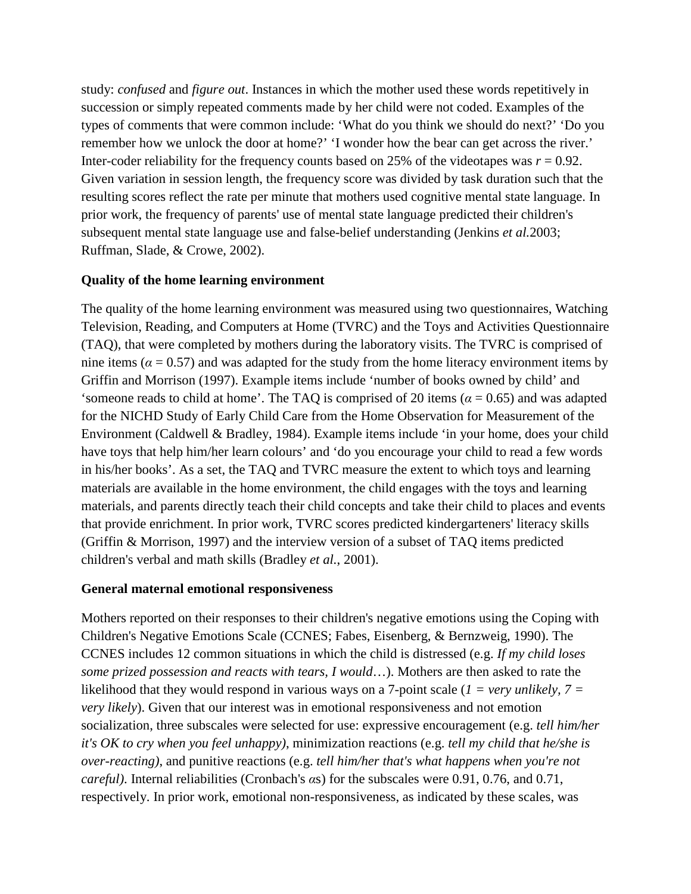study: *confused* and *figure out*. Instances in which the mother used these words repetitively in succession or simply repeated comments made by her child were not coded. Examples of the types of comments that were common include: 'What do you think we should do next?' 'Do you remember how we unlock the door at home?' 'I wonder how the bear can get across the river.' Inter-coder reliability for the frequency counts based on 25% of the videotapes was  $r = 0.92$ . Given variation in session length, the frequency score was divided by task duration such that the resulting scores reflect the rate per minute that mothers used cognitive mental state language. In prior work, the frequency of parents' use of mental state language predicted their children's subsequent mental state language use and false-belief understanding (Jenkins *et al.*2003; Ruffman, Slade, & Crowe, 2002).

# **Quality of the home learning environment**

The quality of the home learning environment was measured using two questionnaires, Watching Television, Reading, and Computers at Home (TVRC) and the Toys and Activities Questionnaire (TAQ), that were completed by mothers during the laboratory visits. The TVRC is comprised of nine items ( $\alpha$  = 0.57) and was adapted for the study from the home literacy environment items by Griffin and Morrison (1997). Example items include 'number of books owned by child' and 'someone reads to child at home'. The TAQ is comprised of 20 items ( $\alpha$  = 0.65) and was adapted for the NICHD Study of Early Child Care from the Home Observation for Measurement of the Environment (Caldwell & Bradley, 1984). Example items include 'in your home, does your child have toys that help him/her learn colours' and 'do you encourage your child to read a few words in his/her books'. As a set, the TAQ and TVRC measure the extent to which toys and learning materials are available in the home environment, the child engages with the toys and learning materials, and parents directly teach their child concepts and take their child to places and events that provide enrichment. In prior work, TVRC scores predicted kindergarteners' literacy skills (Griffin & Morrison, 1997) and the interview version of a subset of TAQ items predicted children's verbal and math skills (Bradley *et al.*, 2001).

# **General maternal emotional responsiveness**

Mothers reported on their responses to their children's negative emotions using the Coping with Children's Negative Emotions Scale (CCNES; Fabes, Eisenberg, & Bernzweig, 1990). The CCNES includes 12 common situations in which the child is distressed (e.g. *If my child loses some prized possession and reacts with tears, I would*…). Mothers are then asked to rate the likelihood that they would respond in various ways on a 7-point scale (*1 = very unlikely, 7 = very likely*). Given that our interest was in emotional responsiveness and not emotion socialization, three subscales were selected for use: expressive encouragement (e.g. *tell him/her it's OK to cry when you feel unhappy)*, minimization reactions (e.g. *tell my child that he/she is over-reacting)*, and punitive reactions (e.g. *tell him/her that's what happens when you're not careful)*. Internal reliabilities (Cronbach's *α*s) for the subscales were 0.91, 0.76, and 0.71, respectively. In prior work, emotional non-responsiveness, as indicated by these scales, was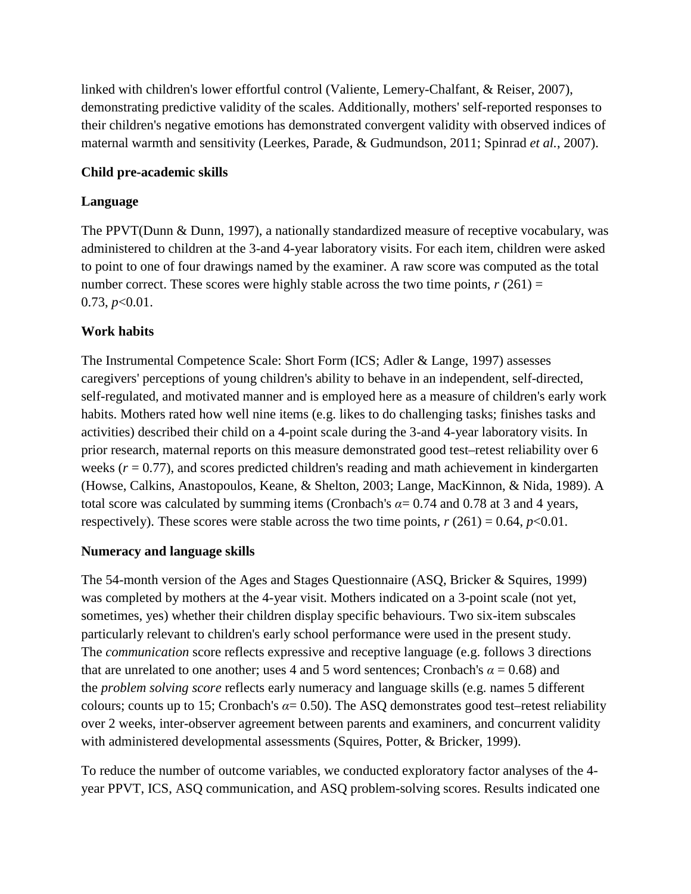linked with children's lower effortful control (Valiente, Lemery-Chalfant, & Reiser, 2007), demonstrating predictive validity of the scales. Additionally, mothers' self-reported responses to their children's negative emotions has demonstrated convergent validity with observed indices of maternal warmth and sensitivity (Leerkes, Parade, & Gudmundson, 2011; Spinrad *et al.*, 2007).

### **Child pre-academic skills**

### **Language**

The PPVT(Dunn & Dunn, 1997), a nationally standardized measure of receptive vocabulary, was administered to children at the 3-and 4-year laboratory visits. For each item, children were asked to point to one of four drawings named by the examiner. A raw score was computed as the total number correct. These scores were highly stable across the two time points,  $r(261) =$ 0.73, *p*<0.01.

# **Work habits**

The Instrumental Competence Scale: Short Form (ICS; Adler & Lange, 1997) assesses caregivers' perceptions of young children's ability to behave in an independent, self-directed, self-regulated, and motivated manner and is employed here as a measure of children's early work habits. Mothers rated how well nine items (e.g. likes to do challenging tasks; finishes tasks and activities) described their child on a 4-point scale during the 3-and 4-year laboratory visits. In prior research, maternal reports on this measure demonstrated good test–retest reliability over 6 weeks  $(r = 0.77)$ , and scores predicted children's reading and math achievement in kindergarten (Howse, Calkins, Anastopoulos, Keane, & Shelton, 2003; Lange, MacKinnon, & Nida, 1989). A total score was calculated by summing items (Cronbach's  $\alpha$  = 0.74 and 0.78 at 3 and 4 years, respectively). These scores were stable across the two time points,  $r(261) = 0.64$ ,  $p<0.01$ .

# **Numeracy and language skills**

The 54-month version of the Ages and Stages Questionnaire (ASQ, Bricker & Squires, 1999) was completed by mothers at the 4-year visit. Mothers indicated on a 3-point scale (not yet, sometimes, yes) whether their children display specific behaviours. Two six-item subscales particularly relevant to children's early school performance were used in the present study. The *communication* score reflects expressive and receptive language (e.g. follows 3 directions that are unrelated to one another; uses 4 and 5 word sentences; Cronbach's  $\alpha = 0.68$ ) and the *problem solving score* reflects early numeracy and language skills (e.g. names 5 different colours; counts up to 15; Cronbach's  $\alpha$ = 0.50). The ASQ demonstrates good test–retest reliability over 2 weeks, inter-observer agreement between parents and examiners, and concurrent validity with administered developmental assessments (Squires, Potter, & Bricker, 1999).

To reduce the number of outcome variables, we conducted exploratory factor analyses of the 4 year PPVT, ICS, ASQ communication, and ASQ problem-solving scores. Results indicated one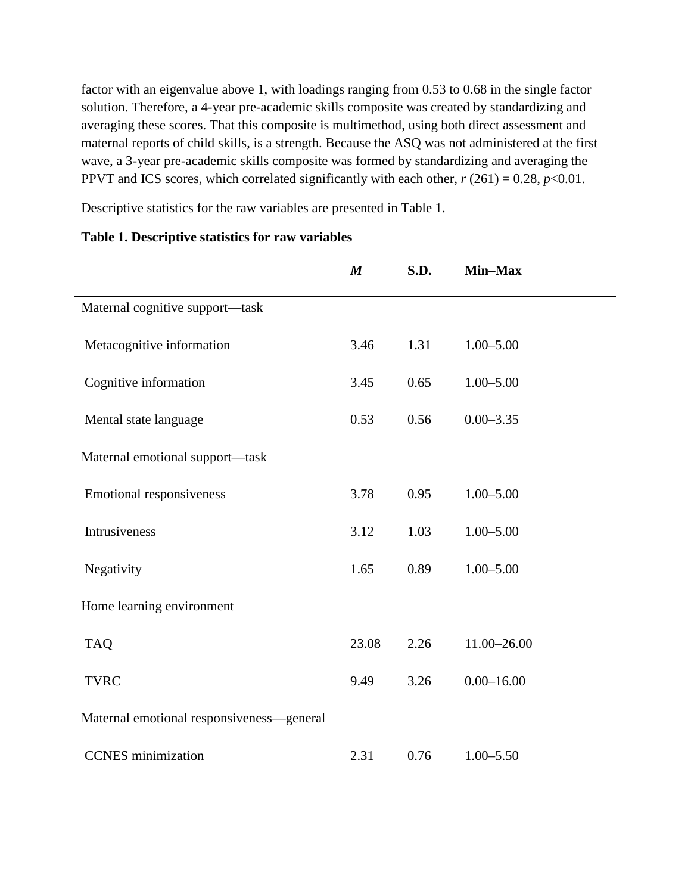factor with an eigenvalue above 1, with loadings ranging from 0.53 to 0.68 in the single factor solution. Therefore, a 4-year pre-academic skills composite was created by standardizing and averaging these scores. That this composite is multimethod, using both direct assessment and maternal reports of child skills, is a strength. Because the ASQ was not administered at the first wave, a 3-year pre-academic skills composite was formed by standardizing and averaging the PPVT and ICS scores, which correlated significantly with each other,  $r(261) = 0.28$ ,  $p < 0.01$ .

Descriptive statistics for the raw variables are presented in Table 1.

|                                           | $\boldsymbol{M}$ | S.D. | Min-Max        |
|-------------------------------------------|------------------|------|----------------|
| Maternal cognitive support-task           |                  |      |                |
| Metacognitive information                 | 3.46             | 1.31 | $1.00 - 5.00$  |
| Cognitive information                     | 3.45             | 0.65 | $1.00 - 5.00$  |
| Mental state language                     | 0.53             | 0.56 | $0.00 - 3.35$  |
| Maternal emotional support-task           |                  |      |                |
| <b>Emotional responsiveness</b>           | 3.78             | 0.95 | $1.00 - 5.00$  |
| Intrusiveness                             | 3.12             | 1.03 | $1.00 - 5.00$  |
| Negativity                                | 1.65             | 0.89 | $1.00 - 5.00$  |
| Home learning environment                 |                  |      |                |
| <b>TAQ</b>                                | 23.08            | 2.26 | 11.00-26.00    |
| <b>TVRC</b>                               | 9.49             | 3.26 | $0.00 - 16.00$ |
| Maternal emotional responsiveness-general |                  |      |                |
| <b>CCNES</b> minimization                 | 2.31             | 0.76 | $1.00 - 5.50$  |

#### **Table 1. Descriptive statistics for raw variables**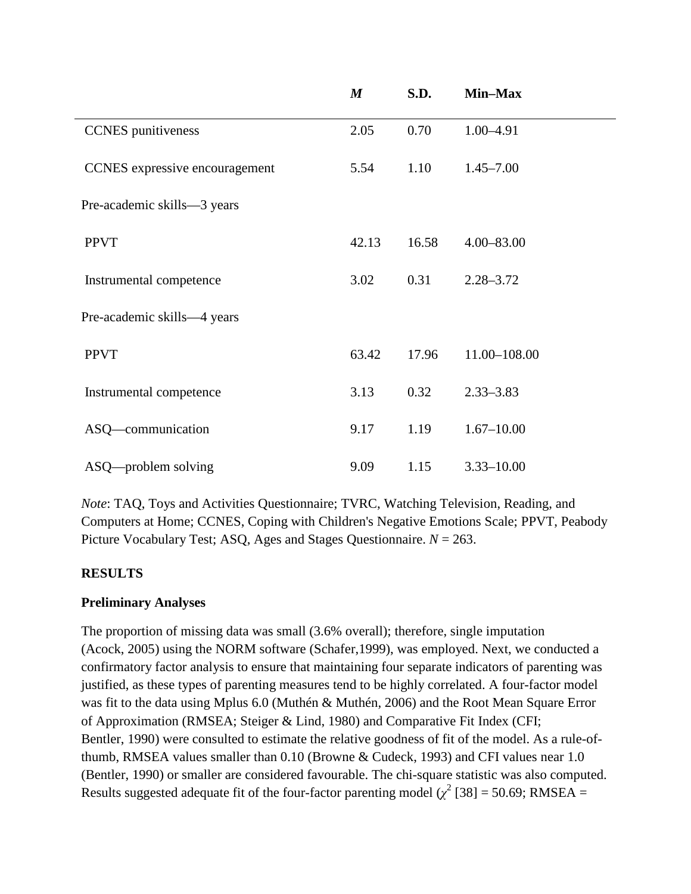|                                       | $\boldsymbol{M}$ | S.D.  | Min-Max        |
|---------------------------------------|------------------|-------|----------------|
| <b>CCNES</b> punitiveness             | 2.05             | 0.70  | 1.00-4.91      |
| <b>CCNES</b> expressive encouragement | 5.54             | 1.10  | $1.45 - 7.00$  |
| Pre-academic skills-3 years           |                  |       |                |
| <b>PPVT</b>                           | 42.13            | 16.58 | $4.00 - 83.00$ |
| Instrumental competence               | 3.02             | 0.31  | $2.28 - 3.72$  |
| Pre-academic skills-4 years           |                  |       |                |
| <b>PPVT</b>                           | 63.42            | 17.96 | 11.00-108.00   |
| Instrumental competence               | 3.13             | 0.32  | $2.33 - 3.83$  |
| ASQ—communication                     | 9.17             | 1.19  | $1.67 - 10.00$ |
| ASQ—problem solving                   | 9.09             | 1.15  | $3.33 - 10.00$ |

*Note*: TAQ, Toys and Activities Questionnaire; TVRC, Watching Television, Reading, and Computers at Home; CCNES, Coping with Children's Negative Emotions Scale; PPVT, Peabody Picture Vocabulary Test; ASQ, Ages and Stages Questionnaire. *N* = 263.

# **RESULTS**

# **Preliminary Analyses**

The proportion of missing data was small (3.6% overall); therefore, single imputation (Acock, 2005) using the NORM software (Schafer,1999), was employed. Next, we conducted a confirmatory factor analysis to ensure that maintaining four separate indicators of parenting was justified, as these types of parenting measures tend to be highly correlated. A four-factor model was fit to the data using Mplus 6.0 (Muthén & Muthén, 2006) and the Root Mean Square Error of Approximation (RMSEA; Steiger & Lind, 1980) and Comparative Fit Index (CFI; Bentler, 1990) were consulted to estimate the relative goodness of fit of the model. As a rule-ofthumb, RMSEA values smaller than 0.10 (Browne & Cudeck, 1993) and CFI values near 1.0 (Bentler, 1990) or smaller are considered favourable. The chi-square statistic was also computed. Results suggested adequate fit of the four-factor parenting model  $(\chi^2 \text{ [38]} = 50.69; \text{RMSEA} =$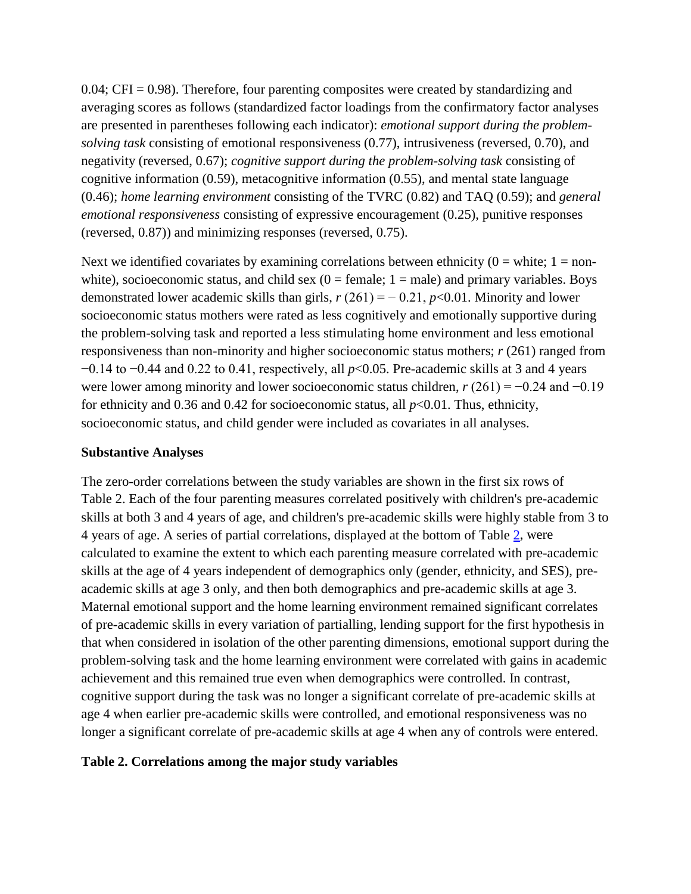$0.04$ ; CFI = 0.98). Therefore, four parenting composites were created by standardizing and averaging scores as follows (standardized factor loadings from the confirmatory factor analyses are presented in parentheses following each indicator): *emotional support during the problemsolving task* consisting of emotional responsiveness (0.77), intrusiveness (reversed, 0.70), and negativity (reversed, 0.67); *cognitive support during the problem-solving task* consisting of cognitive information (0.59), metacognitive information (0.55), and mental state language (0.46); *home learning environment* consisting of the TVRC (0.82) and TAQ (0.59); and *general emotional responsiveness* consisting of expressive encouragement (0.25), punitive responses (reversed, 0.87)) and minimizing responses (reversed, 0.75).

Next we identified covariates by examining correlations between ethnicity  $(0 = \text{white}; 1 = \text{non-}$ white), socioeconomic status, and child sex  $(0 = \text{female}; 1 = \text{male})$  and primary variables. Boys demonstrated lower academic skills than girls,  $r(261) = -0.21$ ,  $p<0.01$ . Minority and lower socioeconomic status mothers were rated as less cognitively and emotionally supportive during the problem-solving task and reported a less stimulating home environment and less emotional responsiveness than non-minority and higher socioeconomic status mothers; *r* (261) ranged from −0.14 to −0.44 and 0.22 to 0.41, respectively, all *p*<0.05. Pre-academic skills at 3 and 4 years were lower among minority and lower socioeconomic status children, *r* (261) = −0.24 and −0.19 for ethnicity and 0.36 and 0.42 for socioeconomic status, all  $p<0.01$ . Thus, ethnicity, socioeconomic status, and child gender were included as covariates in all analyses.

#### **Substantive Analyses**

The zero-order correlations between the study variables are shown in the first six rows of Table 2. Each of the four parenting measures correlated positively with children's pre-academic skills at both 3 and 4 years of age, and children's pre-academic skills were highly stable from 3 to 4 years of age. A series of partial correlations, displayed at the bottom of Table [2,](http://onlinelibrary.wiley.com/doi/10.1002/icd.728/full#icd728-tbl-0002) were calculated to examine the extent to which each parenting measure correlated with pre-academic skills at the age of 4 years independent of demographics only (gender, ethnicity, and SES), preacademic skills at age 3 only, and then both demographics and pre-academic skills at age 3. Maternal emotional support and the home learning environment remained significant correlates of pre-academic skills in every variation of partialling, lending support for the first hypothesis in that when considered in isolation of the other parenting dimensions, emotional support during the problem-solving task and the home learning environment were correlated with gains in academic achievement and this remained true even when demographics were controlled. In contrast, cognitive support during the task was no longer a significant correlate of pre-academic skills at age 4 when earlier pre-academic skills were controlled, and emotional responsiveness was no longer a significant correlate of pre-academic skills at age 4 when any of controls were entered.

#### **Table 2. Correlations among the major study variables**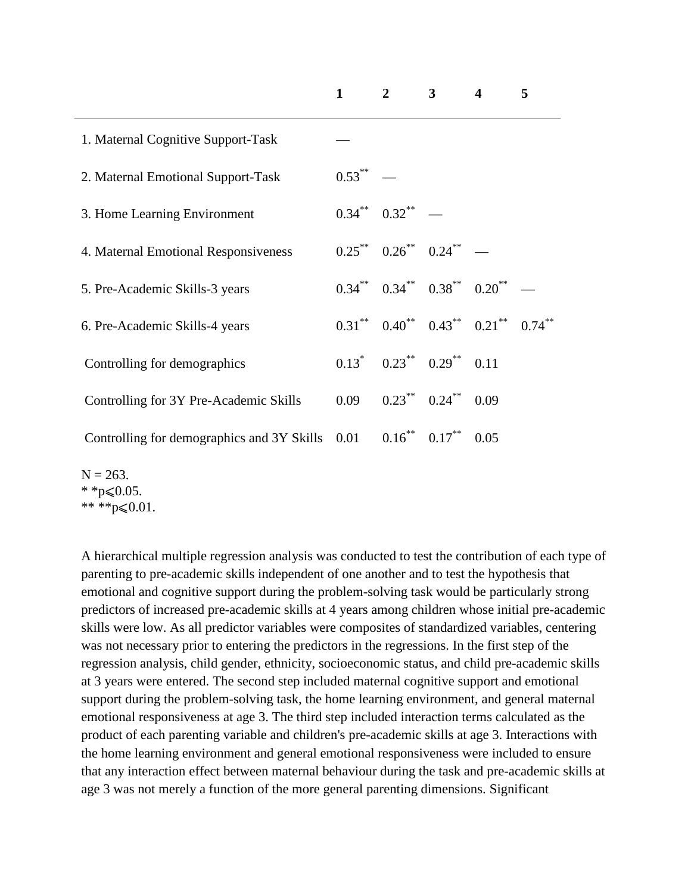|                                                                                            |           | 2                                       | 3 | 4                                                           | 5 |
|--------------------------------------------------------------------------------------------|-----------|-----------------------------------------|---|-------------------------------------------------------------|---|
| 1. Maternal Cognitive Support-Task                                                         |           |                                         |   |                                                             |   |
| 2. Maternal Emotional Support-Task                                                         | $0.53***$ |                                         |   |                                                             |   |
| 3. Home Learning Environment                                                               |           | $0.34^{**}$ $0.32^{**}$ —               |   |                                                             |   |
| 4. Maternal Emotional Responsiveness                                                       |           | $0.25^{**}$ $0.26^{**}$ $0.24^{**}$ —   |   |                                                             |   |
| 5. Pre-Academic Skills-3 years                                                             |           |                                         |   | $0.34^{**}$ $0.34^{**}$ $0.38^{**}$ $0.20^{**}$             |   |
| 6. Pre-Academic Skills-4 years                                                             |           |                                         |   | $0.31^{**}$ $0.40^{**}$ $0.43^{**}$ $0.21^{**}$ $0.74^{**}$ |   |
| Controlling for demographics                                                               |           | $0.13^*$ $0.23^{**}$ $0.29^{**}$ $0.11$ |   |                                                             |   |
| Controlling for 3Y Pre-Academic Skills                                                     |           | $0.09$ $0.23^{**}$ $0.24^{**}$ $0.09$   |   |                                                             |   |
| Controlling for demographics and 3Y Skills 0.01 0.16 <sup>**</sup> 0.17 <sup>**</sup> 0.05 |           |                                         |   |                                                             |   |

 $N = 263$ .  $*$  \* p≤0.05. \*\* \*\*p≤0.01.

A hierarchical multiple regression analysis was conducted to test the contribution of each type of parenting to pre-academic skills independent of one another and to test the hypothesis that emotional and cognitive support during the problem-solving task would be particularly strong predictors of increased pre-academic skills at 4 years among children whose initial pre-academic skills were low. As all predictor variables were composites of standardized variables, centering was not necessary prior to entering the predictors in the regressions. In the first step of the regression analysis, child gender, ethnicity, socioeconomic status, and child pre-academic skills at 3 years were entered. The second step included maternal cognitive support and emotional support during the problem-solving task, the home learning environment, and general maternal emotional responsiveness at age 3. The third step included interaction terms calculated as the product of each parenting variable and children's pre-academic skills at age 3. Interactions with the home learning environment and general emotional responsiveness were included to ensure that any interaction effect between maternal behaviour during the task and pre-academic skills at age 3 was not merely a function of the more general parenting dimensions. Significant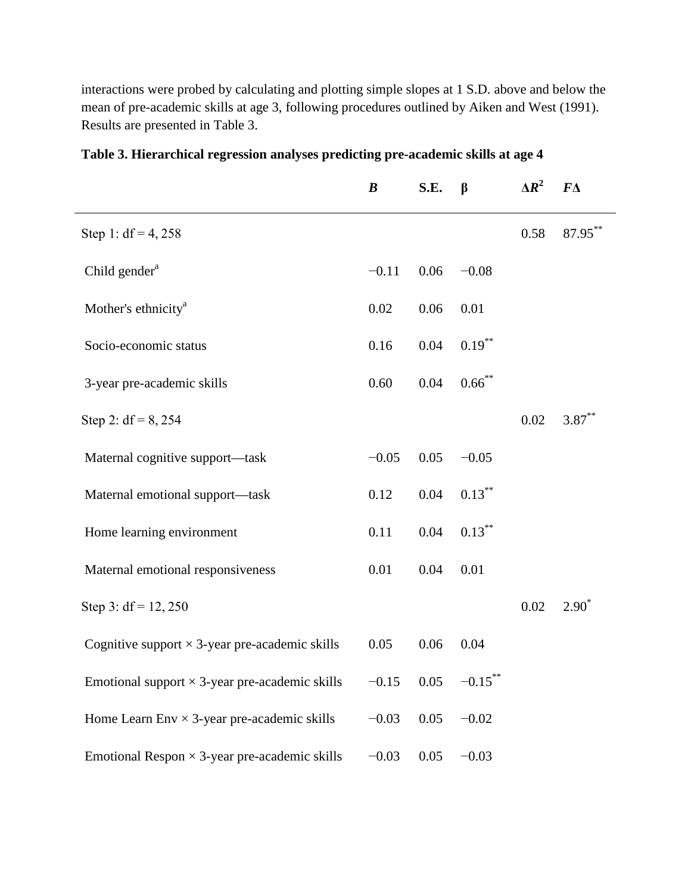interactions were probed by calculating and plotting simple slopes at 1 S.D. above and below the mean of pre-academic skills at age 3, following procedures outlined by Aiken and West (1991). Results are presented in Table 3.

|                                                       | $\boldsymbol{B}$ | S.E. | $\beta$    | $\Delta R^2$ | $F\Delta$ |
|-------------------------------------------------------|------------------|------|------------|--------------|-----------|
| Step 1: $df = 4,258$                                  |                  |      |            | 0.58         | 87.95**   |
| Child gender <sup>a</sup>                             | $-0.11$          | 0.06 | $-0.08$    |              |           |
| Mother's ethnicity <sup>a</sup>                       | 0.02             | 0.06 | $0.01\,$   |              |           |
| Socio-economic status                                 | 0.16             | 0.04 | $0.19***$  |              |           |
| 3-year pre-academic skills                            | 0.60             | 0.04 | $0.66$ **  |              |           |
| Step 2: $df = 8,254$                                  |                  |      |            | 0.02         | $3.87***$ |
| Maternal cognitive support—task                       | $-0.05$          | 0.05 | $-0.05$    |              |           |
| Maternal emotional support—task                       | 0.12             | 0.04 | $0.13***$  |              |           |
| Home learning environment                             | 0.11             | 0.04 | $0.13***$  |              |           |
| Maternal emotional responsiveness                     | 0.01             | 0.04 | 0.01       |              |           |
| Step 3: $df = 12,250$                                 |                  |      |            | 0.02         | $2.90^*$  |
| Cognitive support $\times$ 3-year pre-academic skills | 0.05             | 0.06 | 0.04       |              |           |
| Emotional support $\times$ 3-year pre-academic skills | $-0.15$          | 0.05 | $-0.15$ ** |              |           |
| Home Learn $Env \times 3$ -year pre-academic skills   | $-0.03$          | 0.05 | $-0.02$    |              |           |
| Emotional Respon $\times$ 3-year pre-academic skills  | $-0.03$          | 0.05 | $-0.03$    |              |           |

# **Table 3. Hierarchical regression analyses predicting pre-academic skills at age 4**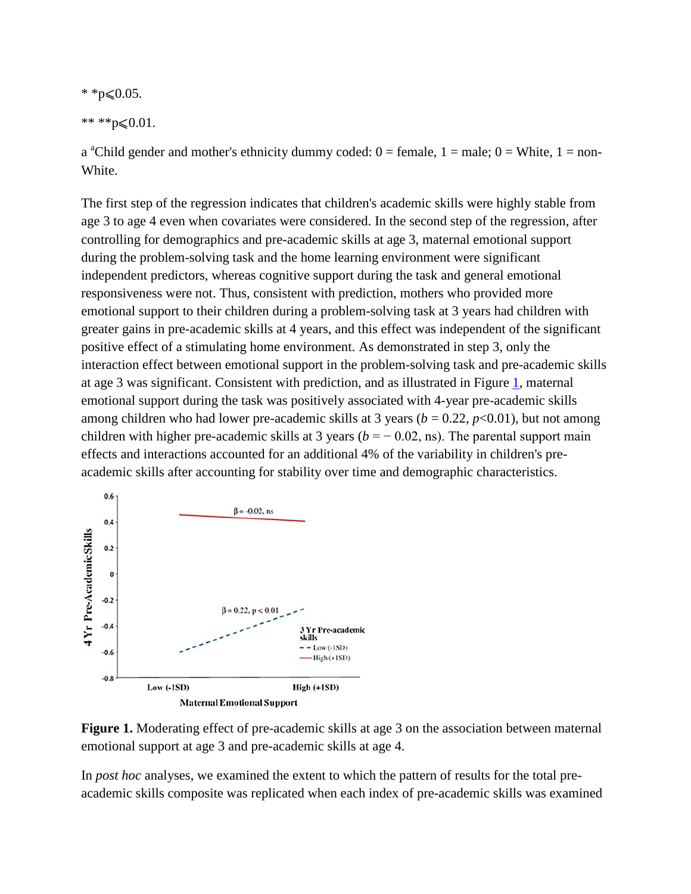$*$  \*  $p$ ≤0.05.

\*\* \*\*p $\leq 0.01$ .

a <sup>a</sup>Child gender and mother's ethnicity dummy coded:  $0 =$  female,  $1 =$  male;  $0 =$  White,  $1 =$  non-White.

The first step of the regression indicates that children's academic skills were highly stable from age 3 to age 4 even when covariates were considered. In the second step of the regression, after controlling for demographics and pre-academic skills at age 3, maternal emotional support during the problem-solving task and the home learning environment were significant independent predictors, whereas cognitive support during the task and general emotional responsiveness were not. Thus, consistent with prediction, mothers who provided more emotional support to their children during a problem-solving task at 3 years had children with greater gains in pre-academic skills at 4 years, and this effect was independent of the significant positive effect of a stimulating home environment. As demonstrated in step 3, only the interaction effect between emotional support in the problem-solving task and pre-academic skills at age 3 was significant. Consistent with prediction, and as illustrated in Figure [1,](http://onlinelibrary.wiley.com/doi/10.1002/icd.728/full#icd728-fig-0001) maternal emotional support during the task was positively associated with 4-year pre-academic skills among children who had lower pre-academic skills at 3 years ( $b = 0.22$ ,  $p < 0.01$ ), but not among children with higher pre-academic skills at 3 years  $(b = -0.02, \text{ns})$ . The parental support main effects and interactions accounted for an additional 4% of the variability in children's preacademic skills after accounting for stability over time and demographic characteristics.



**Figure 1.** Moderating effect of pre-academic skills at age 3 on the association between maternal emotional support at age 3 and pre-academic skills at age 4.

In *post hoc* analyses, we examined the extent to which the pattern of results for the total preacademic skills composite was replicated when each index of pre-academic skills was examined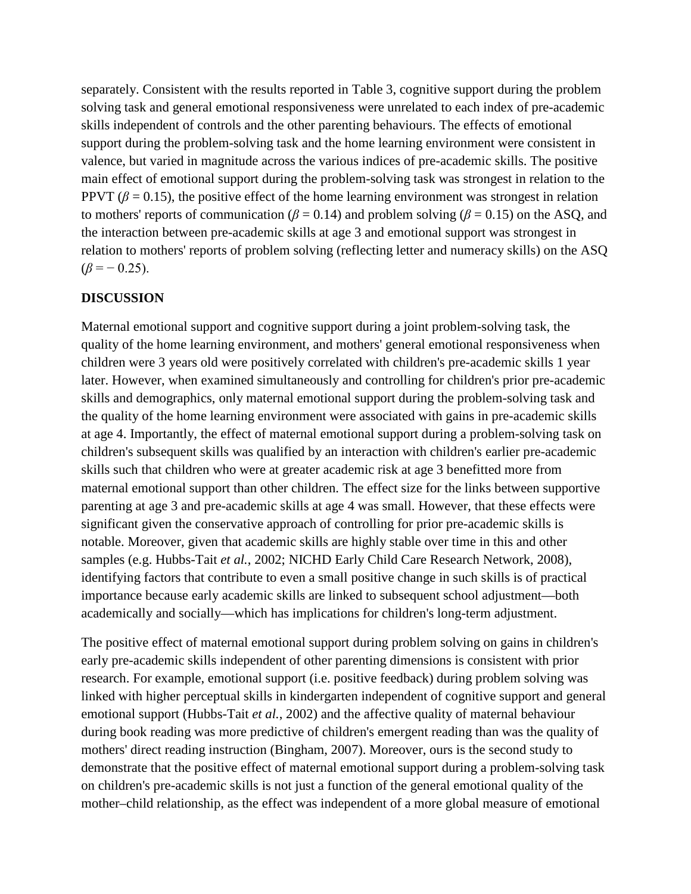separately. Consistent with the results reported in Table 3, cognitive support during the problem solving task and general emotional responsiveness were unrelated to each index of pre-academic skills independent of controls and the other parenting behaviours. The effects of emotional support during the problem-solving task and the home learning environment were consistent in valence, but varied in magnitude across the various indices of pre-academic skills. The positive main effect of emotional support during the problem-solving task was strongest in relation to the PPVT ( $\beta$  = 0.15), the positive effect of the home learning environment was strongest in relation to mothers' reports of communication ( $\beta$  = 0.14) and problem solving ( $\beta$  = 0.15) on the ASQ, and the interaction between pre-academic skills at age 3 and emotional support was strongest in relation to mothers' reports of problem solving (reflecting letter and numeracy skills) on the ASQ  $(\beta = -0.25)$ .

#### **DISCUSSION**

Maternal emotional support and cognitive support during a joint problem-solving task, the quality of the home learning environment, and mothers' general emotional responsiveness when children were 3 years old were positively correlated with children's pre-academic skills 1 year later. However, when examined simultaneously and controlling for children's prior pre-academic skills and demographics, only maternal emotional support during the problem-solving task and the quality of the home learning environment were associated with gains in pre-academic skills at age 4. Importantly, the effect of maternal emotional support during a problem-solving task on children's subsequent skills was qualified by an interaction with children's earlier pre-academic skills such that children who were at greater academic risk at age 3 benefitted more from maternal emotional support than other children. The effect size for the links between supportive parenting at age 3 and pre-academic skills at age 4 was small. However, that these effects were significant given the conservative approach of controlling for prior pre-academic skills is notable. Moreover, given that academic skills are highly stable over time in this and other samples (e.g. Hubbs-Tait *et al.*, 2002; NICHD Early Child Care Research Network, 2008), identifying factors that contribute to even a small positive change in such skills is of practical importance because early academic skills are linked to subsequent school adjustment—both academically and socially—which has implications for children's long-term adjustment.

The positive effect of maternal emotional support during problem solving on gains in children's early pre-academic skills independent of other parenting dimensions is consistent with prior research. For example, emotional support (i.e. positive feedback) during problem solving was linked with higher perceptual skills in kindergarten independent of cognitive support and general emotional support (Hubbs-Tait *et al.*, 2002) and the affective quality of maternal behaviour during book reading was more predictive of children's emergent reading than was the quality of mothers' direct reading instruction (Bingham, 2007). Moreover, ours is the second study to demonstrate that the positive effect of maternal emotional support during a problem-solving task on children's pre-academic skills is not just a function of the general emotional quality of the mother–child relationship, as the effect was independent of a more global measure of emotional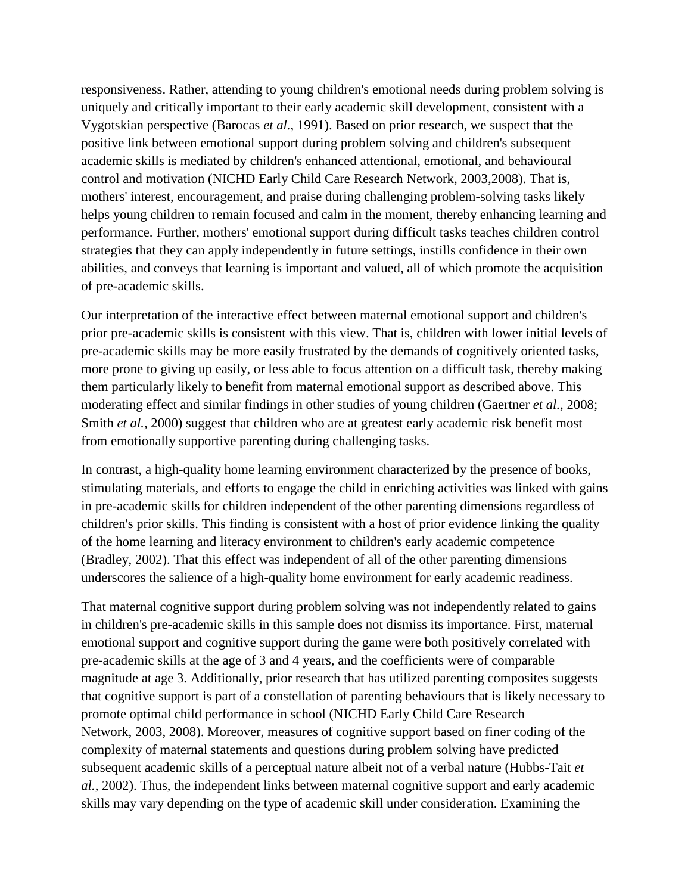responsiveness. Rather, attending to young children's emotional needs during problem solving is uniquely and critically important to their early academic skill development, consistent with a Vygotskian perspective (Barocas *et al.*, 1991). Based on prior research, we suspect that the positive link between emotional support during problem solving and children's subsequent academic skills is mediated by children's enhanced attentional, emotional, and behavioural control and motivation (NICHD Early Child Care Research Network, 2003,2008). That is, mothers' interest, encouragement, and praise during challenging problem-solving tasks likely helps young children to remain focused and calm in the moment, thereby enhancing learning and performance. Further, mothers' emotional support during difficult tasks teaches children control strategies that they can apply independently in future settings, instills confidence in their own abilities, and conveys that learning is important and valued, all of which promote the acquisition of pre-academic skills.

Our interpretation of the interactive effect between maternal emotional support and children's prior pre-academic skills is consistent with this view. That is, children with lower initial levels of pre-academic skills may be more easily frustrated by the demands of cognitively oriented tasks, more prone to giving up easily, or less able to focus attention on a difficult task, thereby making them particularly likely to benefit from maternal emotional support as described above. This moderating effect and similar findings in other studies of young children (Gaertner *et al.*, 2008; Smith *et al.*, 2000) suggest that children who are at greatest early academic risk benefit most from emotionally supportive parenting during challenging tasks.

In contrast, a high-quality home learning environment characterized by the presence of books, stimulating materials, and efforts to engage the child in enriching activities was linked with gains in pre-academic skills for children independent of the other parenting dimensions regardless of children's prior skills. This finding is consistent with a host of prior evidence linking the quality of the home learning and literacy environment to children's early academic competence (Bradley, 2002). That this effect was independent of all of the other parenting dimensions underscores the salience of a high-quality home environment for early academic readiness.

That maternal cognitive support during problem solving was not independently related to gains in children's pre-academic skills in this sample does not dismiss its importance. First, maternal emotional support and cognitive support during the game were both positively correlated with pre-academic skills at the age of 3 and 4 years, and the coefficients were of comparable magnitude at age 3. Additionally, prior research that has utilized parenting composites suggests that cognitive support is part of a constellation of parenting behaviours that is likely necessary to promote optimal child performance in school (NICHD Early Child Care Research Network, 2003, 2008). Moreover, measures of cognitive support based on finer coding of the complexity of maternal statements and questions during problem solving have predicted subsequent academic skills of a perceptual nature albeit not of a verbal nature (Hubbs-Tait *et al.*, 2002). Thus, the independent links between maternal cognitive support and early academic skills may vary depending on the type of academic skill under consideration. Examining the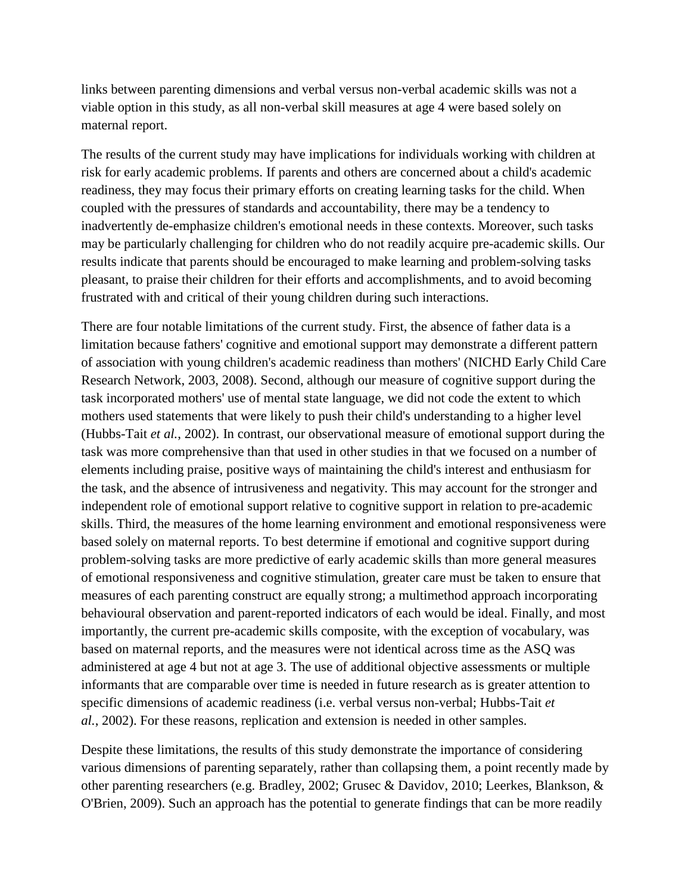links between parenting dimensions and verbal versus non-verbal academic skills was not a viable option in this study, as all non-verbal skill measures at age 4 were based solely on maternal report.

The results of the current study may have implications for individuals working with children at risk for early academic problems. If parents and others are concerned about a child's academic readiness, they may focus their primary efforts on creating learning tasks for the child. When coupled with the pressures of standards and accountability, there may be a tendency to inadvertently de-emphasize children's emotional needs in these contexts. Moreover, such tasks may be particularly challenging for children who do not readily acquire pre-academic skills. Our results indicate that parents should be encouraged to make learning and problem-solving tasks pleasant, to praise their children for their efforts and accomplishments, and to avoid becoming frustrated with and critical of their young children during such interactions.

There are four notable limitations of the current study. First, the absence of father data is a limitation because fathers' cognitive and emotional support may demonstrate a different pattern of association with young children's academic readiness than mothers' (NICHD Early Child Care Research Network, 2003, 2008). Second, although our measure of cognitive support during the task incorporated mothers' use of mental state language, we did not code the extent to which mothers used statements that were likely to push their child's understanding to a higher level (Hubbs-Tait *et al.*, 2002). In contrast, our observational measure of emotional support during the task was more comprehensive than that used in other studies in that we focused on a number of elements including praise, positive ways of maintaining the child's interest and enthusiasm for the task, and the absence of intrusiveness and negativity. This may account for the stronger and independent role of emotional support relative to cognitive support in relation to pre-academic skills. Third, the measures of the home learning environment and emotional responsiveness were based solely on maternal reports. To best determine if emotional and cognitive support during problem-solving tasks are more predictive of early academic skills than more general measures of emotional responsiveness and cognitive stimulation, greater care must be taken to ensure that measures of each parenting construct are equally strong; a multimethod approach incorporating behavioural observation and parent-reported indicators of each would be ideal. Finally, and most importantly, the current pre-academic skills composite, with the exception of vocabulary, was based on maternal reports, and the measures were not identical across time as the ASQ was administered at age 4 but not at age 3. The use of additional objective assessments or multiple informants that are comparable over time is needed in future research as is greater attention to specific dimensions of academic readiness (i.e. verbal versus non-verbal; Hubbs-Tait *et al.*, 2002). For these reasons, replication and extension is needed in other samples.

Despite these limitations, the results of this study demonstrate the importance of considering various dimensions of parenting separately, rather than collapsing them, a point recently made by other parenting researchers (e.g. Bradley, 2002; Grusec & Davidov, 2010; Leerkes, Blankson, & O'Brien, 2009). Such an approach has the potential to generate findings that can be more readily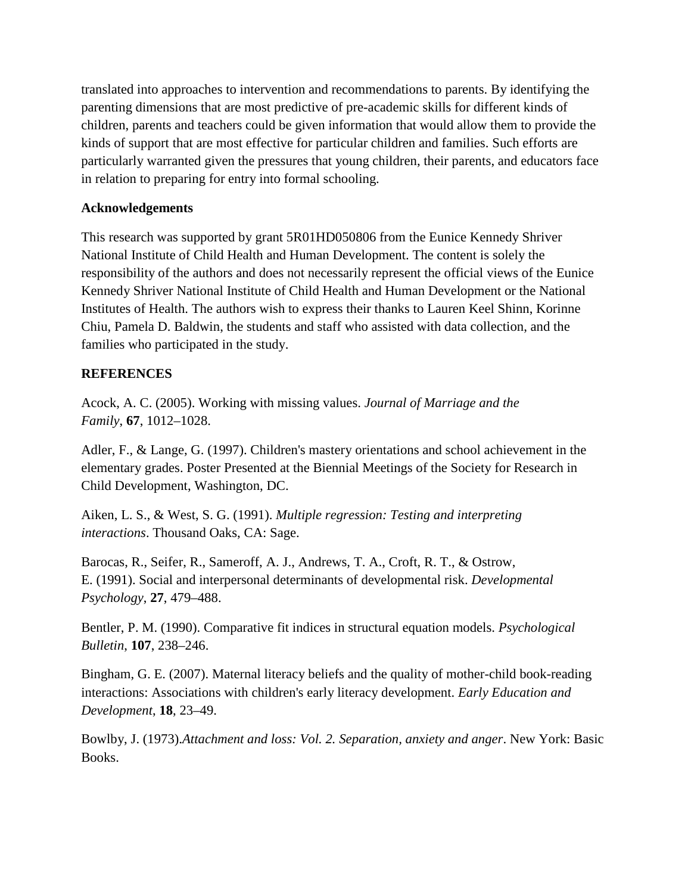translated into approaches to intervention and recommendations to parents. By identifying the parenting dimensions that are most predictive of pre-academic skills for different kinds of children, parents and teachers could be given information that would allow them to provide the kinds of support that are most effective for particular children and families. Such efforts are particularly warranted given the pressures that young children, their parents, and educators face in relation to preparing for entry into formal schooling.

# **Acknowledgements**

This research was supported by grant 5R01HD050806 from the Eunice Kennedy Shriver National Institute of Child Health and Human Development. The content is solely the responsibility of the authors and does not necessarily represent the official views of the Eunice Kennedy Shriver National Institute of Child Health and Human Development or the National Institutes of Health. The authors wish to express their thanks to Lauren Keel Shinn, Korinne Chiu, Pamela D. Baldwin, the students and staff who assisted with data collection, and the families who participated in the study.

# **REFERENCES**

Acock, A. C. (2005). Working with missing values. *Journal of Marriage and the Family*, **67**, 1012–1028.

Adler, F., & Lange, G. (1997). Children's mastery orientations and school achievement in the elementary grades. Poster Presented at the Biennial Meetings of the Society for Research in Child Development, Washington, DC.

Aiken, L. S., & West, S. G. (1991). *Multiple regression: Testing and interpreting interactions*. Thousand Oaks, CA: Sage.

Barocas, R., Seifer, R., Sameroff, A. J., Andrews, T. A., Croft, R. T., & Ostrow, E. (1991). Social and interpersonal determinants of developmental risk. *Developmental Psychology*, **27**, 479–488.

Bentler, P. M. (1990). Comparative fit indices in structural equation models. *Psychological Bulletin*, **107**, 238–246.

Bingham, G. E. (2007). Maternal literacy beliefs and the quality of mother-child book-reading interactions: Associations with children's early literacy development. *Early Education and Development*, **18**, 23–49.

Bowlby, J. (1973).*Attachment and loss: Vol. 2. Separation, anxiety and anger*. New York: Basic Books.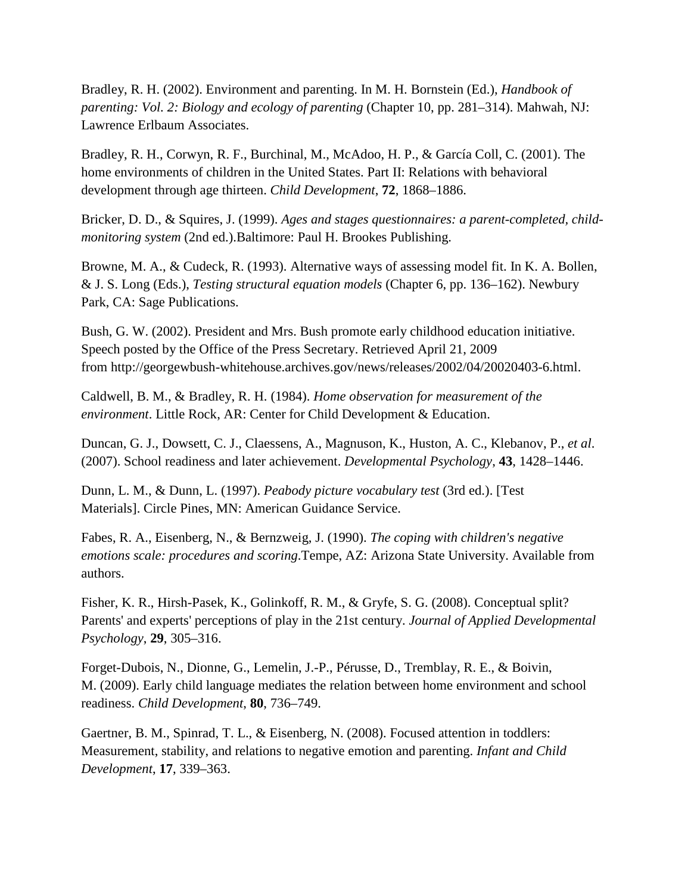Bradley, R. H. (2002). Environment and parenting. In M. H. Bornstein (Ed.), *Handbook of parenting: Vol. 2: Biology and ecology of parenting* (Chapter 10, pp. 281–314). Mahwah, NJ: Lawrence Erlbaum Associates.

Bradley, R. H., Corwyn, R. F., Burchinal, M., McAdoo, H. P., & García Coll, C. (2001). The home environments of children in the United States. Part II: Relations with behavioral development through age thirteen. *Child Development*, **72**, 1868–1886.

Bricker, D. D., & Squires, J. (1999). *Ages and stages questionnaires: a parent-completed, childmonitoring system* (2nd ed.).Baltimore: Paul H. Brookes Publishing.

Browne, M. A., & Cudeck, R. (1993). Alternative ways of assessing model fit. In K. A. Bollen, & J. S. Long (Eds.), *Testing structural equation models* (Chapter 6, pp. 136–162). Newbury Park, CA: Sage Publications.

Bush, G. W. (2002). President and Mrs. Bush promote early childhood education initiative. Speech posted by the Office of the Press Secretary. Retrieved April 21, 2009 from http://georgewbush-whitehouse.archives.gov/news/releases/2002/04/20020403-6.html.

Caldwell, B. M., & Bradley, R. H. (1984). *Home observation for measurement of the environment*. Little Rock, AR: Center for Child Development & Education.

Duncan, G. J., Dowsett, C. J., Claessens, A., Magnuson, K., Huston, A. C., Klebanov, P., *et al*. (2007). School readiness and later achievement. *Developmental Psychology*, **43**, 1428–1446.

Dunn, L. M., & Dunn, L. (1997). *Peabody picture vocabulary test* (3rd ed.). [Test Materials]. Circle Pines, MN: American Guidance Service.

Fabes, R. A., Eisenberg, N., & Bernzweig, J. (1990). *The coping with children's negative emotions scale: procedures and scoring*.Tempe, AZ: Arizona State University. Available from authors.

Fisher, K. R., Hirsh-Pasek, K., Golinkoff, R. M., & Gryfe, S. G. (2008). Conceptual split? Parents' and experts' perceptions of play in the 21st century. *Journal of Applied Developmental Psychology*, **29**, 305–316.

Forget-Dubois, N., Dionne, G., Lemelin, J.-P., Pérusse, D., Tremblay, R. E., & Boivin, M. (2009). Early child language mediates the relation between home environment and school readiness. *Child Development*, **80**, 736–749.

Gaertner, B. M., Spinrad, T. L., & Eisenberg, N. (2008). Focused attention in toddlers: Measurement, stability, and relations to negative emotion and parenting. *Infant and Child Development*, **17**, 339–363.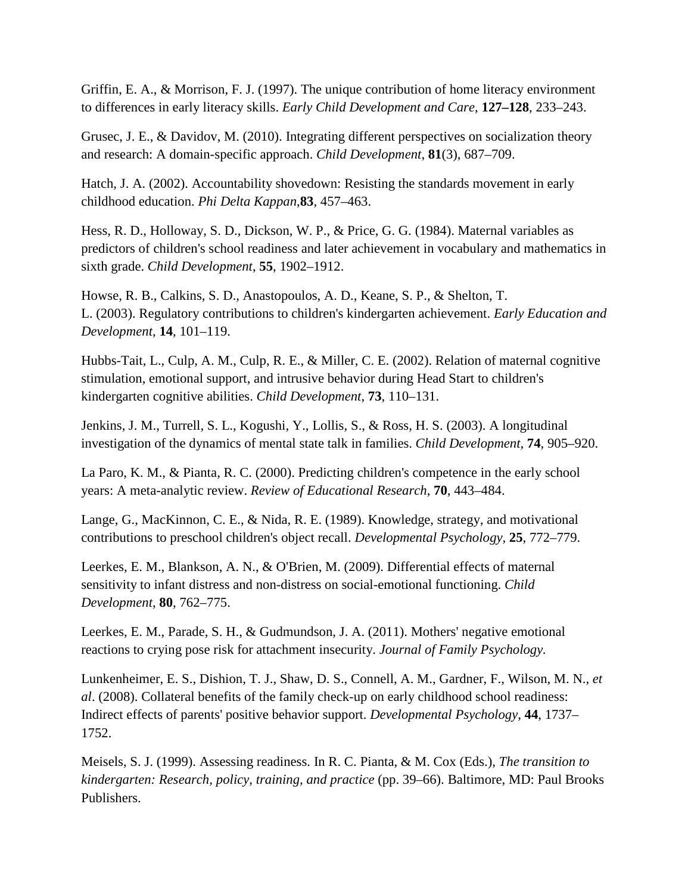Griffin, E. A., & Morrison, F. J. (1997). The unique contribution of home literacy environment to differences in early literacy skills. *Early Child Development and Care*, **127–128**, 233–243.

Grusec, J. E., & Davidov, M. (2010). Integrating different perspectives on socialization theory and research: A domain-specific approach. *Child Development*, **81**(3), 687–709.

Hatch, J. A. (2002). Accountability shovedown: Resisting the standards movement in early childhood education. *Phi Delta Kappan*,**83**, 457–463.

Hess, R. D., Holloway, S. D., Dickson, W. P., & Price, G. G. (1984). Maternal variables as predictors of children's school readiness and later achievement in vocabulary and mathematics in sixth grade. *Child Development*, **55**, 1902–1912.

Howse, R. B., Calkins, S. D., Anastopoulos, A. D., Keane, S. P., & Shelton, T. L. (2003). Regulatory contributions to children's kindergarten achievement. *Early Education and Development*, **14**, 101–119.

Hubbs-Tait, L., Culp, A. M., Culp, R. E., & Miller, C. E. (2002). Relation of maternal cognitive stimulation, emotional support, and intrusive behavior during Head Start to children's kindergarten cognitive abilities. *Child Development*, **73**, 110–131.

Jenkins, J. M., Turrell, S. L., Kogushi, Y., Lollis, S., & Ross, H. S. (2003). A longitudinal investigation of the dynamics of mental state talk in families. *Child Development*, **74**, 905–920.

La Paro, K. M., & Pianta, R. C. (2000). Predicting children's competence in the early school years: A meta-analytic review. *Review of Educational Research*, **70**, 443–484.

Lange, G., MacKinnon, C. E., & Nida, R. E. (1989). Knowledge, strategy, and motivational contributions to preschool children's object recall. *Developmental Psychology*, **25**, 772–779.

Leerkes, E. M., Blankson, A. N., & O'Brien, M. (2009). Differential effects of maternal sensitivity to infant distress and non-distress on social-emotional functioning. *Child Development*, **80**, 762–775.

Leerkes, E. M., Parade, S. H., & Gudmundson, J. A. (2011). Mothers' negative emotional reactions to crying pose risk for attachment insecurity. *Journal of Family Psychology.*

Lunkenheimer, E. S., Dishion, T. J., Shaw, D. S., Connell, A. M., Gardner, F., Wilson, M. N., *et al*. (2008). Collateral benefits of the family check-up on early childhood school readiness: Indirect effects of parents' positive behavior support. *Developmental Psychology*, **44**, 1737– 1752.

Meisels, S. J. (1999). Assessing readiness. In R. C. Pianta, & M. Cox (Eds.), *The transition to kindergarten: Research, policy, training, and practice* (pp. 39–66). Baltimore, MD: Paul Brooks Publishers.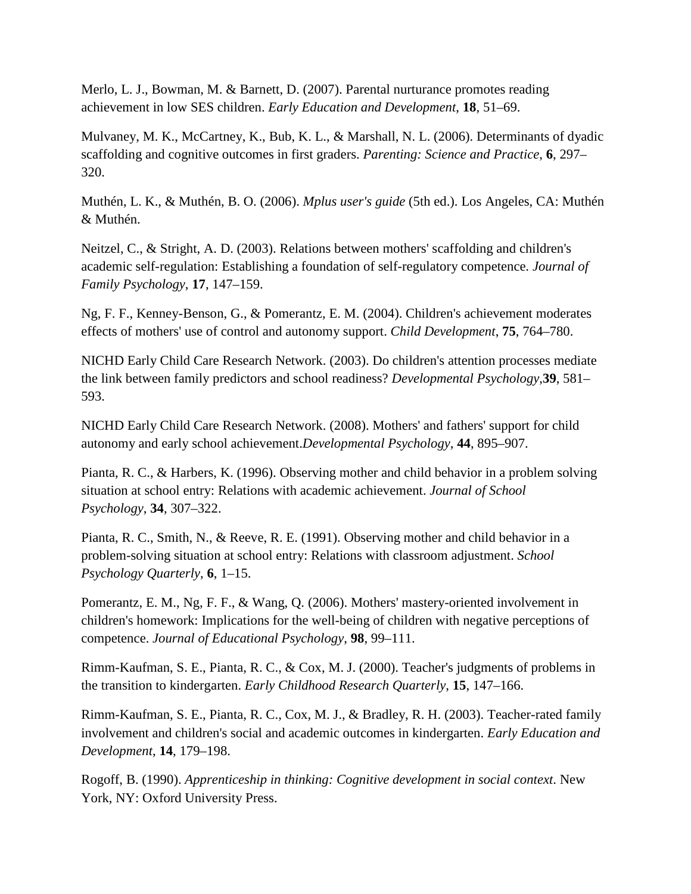Merlo, L. J., Bowman, M. & Barnett, D. (2007). Parental nurturance promotes reading achievement in low SES children. *Early Education and Development*, **18**, 51–69.

Mulvaney, M. K., McCartney, K., Bub, K. L., & Marshall, N. L. (2006). Determinants of dyadic scaffolding and cognitive outcomes in first graders. *Parenting: Science and Practice*, **6**, 297– 320.

Muthén, L. K., & Muthén, B. O. (2006). *Mplus user's guide* (5th ed.). Los Angeles, CA: Muthén & Muthén.

Neitzel, C., & Stright, A. D. (2003). Relations between mothers' scaffolding and children's academic self-regulation: Establishing a foundation of self-regulatory competence. *Journal of Family Psychology*, **17**, 147–159.

Ng, F. F., Kenney-Benson, G., & Pomerantz, E. M. (2004). Children's achievement moderates effects of mothers' use of control and autonomy support. *Child Development*, **75**, 764–780.

NICHD Early Child Care Research Network. (2003). Do children's attention processes mediate the link between family predictors and school readiness? *Developmental Psychology*,**39**, 581– 593.

NICHD Early Child Care Research Network. (2008). Mothers' and fathers' support for child autonomy and early school achievement.*Developmental Psychology*, **44**, 895–907.

Pianta, R. C., & Harbers, K. (1996). Observing mother and child behavior in a problem solving situation at school entry: Relations with academic achievement. *Journal of School Psychology*, **34**, 307–322.

Pianta, R. C., Smith, N., & Reeve, R. E. (1991). Observing mother and child behavior in a problem-solving situation at school entry: Relations with classroom adjustment. *School Psychology Quarterly*, **6**, 1–15.

Pomerantz, E. M., Ng, F. F., & Wang, Q. (2006). Mothers' mastery-oriented involvement in children's homework: Implications for the well-being of children with negative perceptions of competence. *Journal of Educational Psychology*, **98**, 99–111.

Rimm-Kaufman, S. E., Pianta, R. C., & Cox, M. J. (2000). Teacher's judgments of problems in the transition to kindergarten. *Early Childhood Research Quarterly*, **15**, 147–166.

Rimm-Kaufman, S. E., Pianta, R. C., Cox, M. J., & Bradley, R. H. (2003). Teacher-rated family involvement and children's social and academic outcomes in kindergarten. *Early Education and Development*, **14**, 179–198.

Rogoff, B. (1990). *Apprenticeship in thinking: Cognitive development in social context*. New York, NY: Oxford University Press.